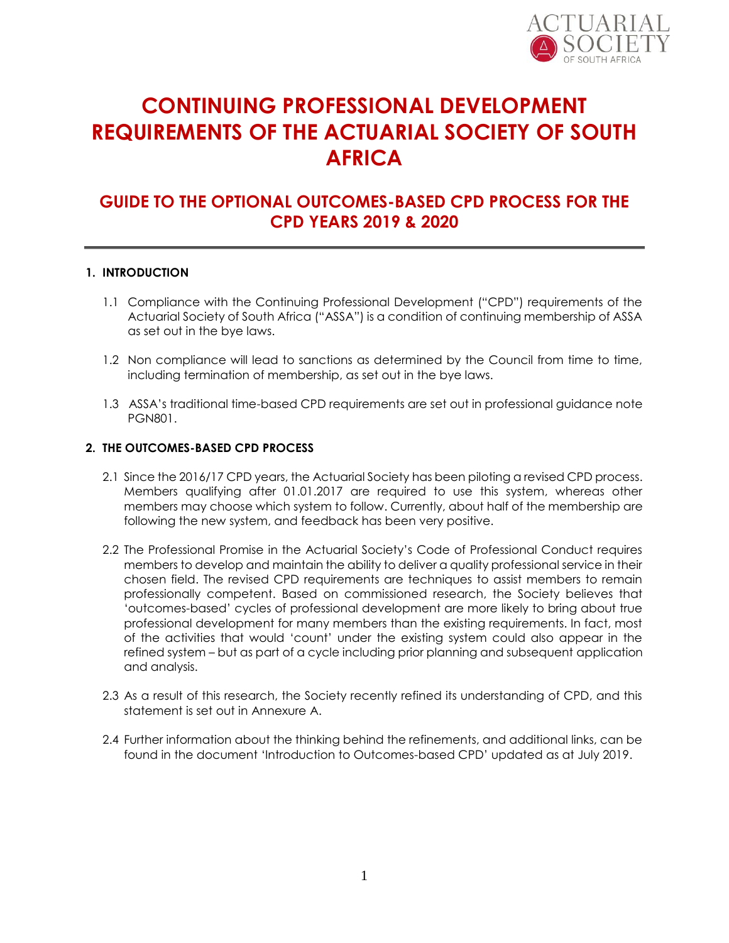

# **CONTINUING PROFESSIONAL DEVELOPMENT REQUIREMENTS OF THE ACTUARIAL SOCIETY OF SOUTH AFRICA**

## **GUIDE TO THE OPTIONAL OUTCOMES-BASED CPD PROCESS FOR THE CPD YEARS 2019 & 2020**

### **1. INTRODUCTION**

- 1.1 Compliance with the Continuing Professional Development ("CPD") requirements of the Actuarial Society of South Africa ("ASSA") is a condition of continuing membership of ASSA as set out in the bye laws.
- 1.2 Non compliance will lead to sanctions as determined by the Council from time to time, including termination of membership, as set out in the bye laws.
- 1.3 ASSA's traditional time-based CPD requirements are set out in professional guidance note PGN801.

### **2. THE OUTCOMES-BASED CPD PROCESS**

- 2.1 Since the 2016/17 CPD years, the Actuarial Society has been piloting a revised CPD process. Members qualifying after 01.01.2017 are required to use this system, whereas other members may choose which system to follow. Currently, about half of the membership are following the new system, and feedback has been very positive.
- 2.2 The Professional Promise in the Actuarial Society's Code of Professional Conduct requires members to develop and maintain the ability to deliver a quality professional service in their chosen field. The revised CPD requirements are techniques to assist members to remain professionally competent. Based on commissioned research, the Society believes that 'outcomes-based' cycles of professional development are more likely to bring about true professional development for many members than the existing requirements. In fact, most of the activities that would 'count' under the existing system could also appear in the refined system – but as part of a cycle including prior planning and subsequent application and analysis.
- 2.3 As a result of this research, the Society recently refined its understanding of CPD, and this statement is set out in Annexure A.
- 2.4 Further information about the thinking behind the refinements, and additional links, can be found in the document 'Introduction to Outcomes-based CPD' updated as at July 2019.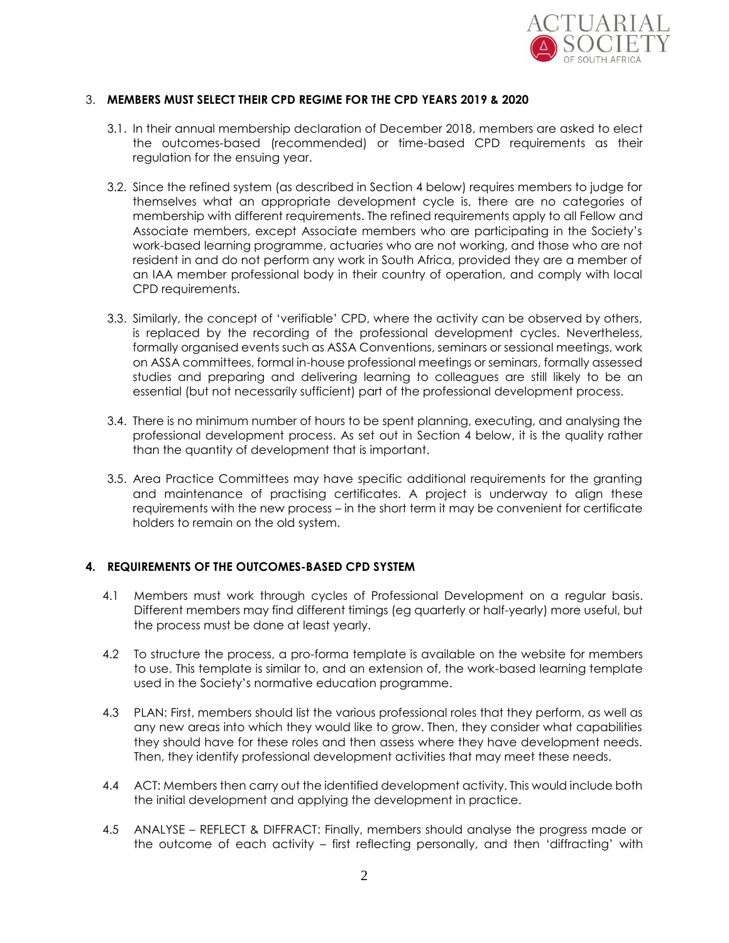

### 3. **MEMBERS MUST SELECT THEIR CPD REGIME FOR THE CPD YEARS 2019 & 2020**

- 3.1. In their annual membership declaration of December 2018, members are asked to elect the outcomes-based (recommended) or time-based CPD requirements as their regulation for the ensuing year.
- 3.2. Since the refined system (as described in Section 4 below) requires members to judge for themselves what an appropriate development cycle is, there are no categories of membership with different requirements. The refined requirements apply to all Fellow and Associate members, except Associate members who are participating in the Society's work-based learning programme, actuaries who are not working, and those who are not resident in and do not perform any work in South Africa, provided they are a member of an IAA member professional body in their country of operation, and comply with local CPD requirements.
- 3.3. Similarly, the concept of 'verifiable' CPD, where the activity can be observed by others, is replaced by the recording of the professional development cycles. Nevertheless, formally organised events such as ASSA Conventions, seminars or sessional meetings, work on ASSA committees, formal in-house professional meetings or seminars, formally assessed studies and preparing and delivering learning to colleagues are still likely to be an essential (but not necessarily sufficient) part of the professional development process.
- 3.4. There is no minimum number of hours to be spent planning, executing, and analysing the professional development process. As set out in Section 4 below, it is the quality rather than the quantity of development that is important.
- 3.5. Area Practice Committees may have specific additional requirements for the granting and maintenance of practising certificates. A project is underway to align these requirements with the new process – in the short term it may be convenient for certificate holders to remain on the old system.

### **4. REQUIREMENTS OF THE OUTCOMES-BASED CPD SYSTEM**

- 4.1 Members must work through cycles of Professional Development on a regular basis. Different members may find different timings (eg quarterly or half-yearly) more useful, but the process must be done at least yearly.
- 4.2 To structure the process, a pro-forma template is available on the website for members to use. This template is similar to, and an extension of, the work-based learning template used in the Society's normative education programme.
- 4.3 PLAN: First, members should list the various professional roles that they perform, as well as any new areas into which they would like to grow. Then, they consider what capabilities they should have for these roles and then assess where they have development needs. Then, they identify professional development activities that may meet these needs.
- 4.4 ACT: Members then carry out the identified development activity. This would include both the initial development and applying the development in practice.
- 4.5 ANALYSE REFLECT & DIFFRACT: Finally, members should analyse the progress made or the outcome of each activity – first reflecting personally, and then 'diffracting' with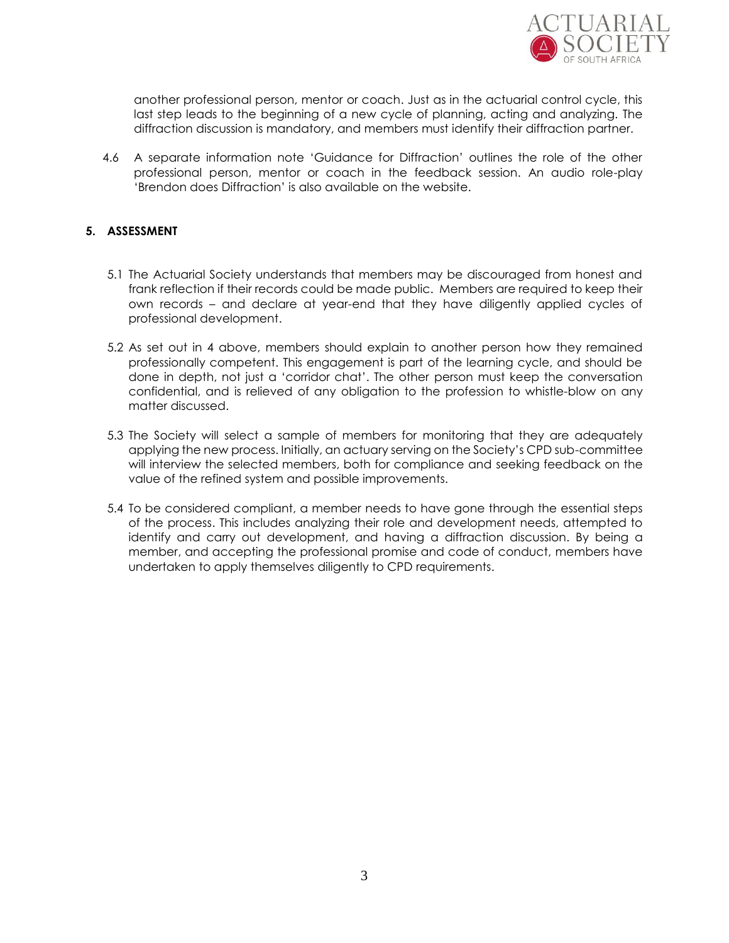

another professional person, mentor or coach. Just as in the actuarial control cycle, this last step leads to the beginning of a new cycle of planning, acting and analyzing. The diffraction discussion is mandatory, and members must identify their diffraction partner.

4.6 A separate information note 'Guidance for Diffraction' outlines the role of the other professional person, mentor or coach in the feedback session. An audio role-play 'Brendon does Diffraction' is also available on the website.

### **5. ASSESSMENT**

- 5.1 The Actuarial Society understands that members may be discouraged from honest and frank reflection if their records could be made public. Members are required to keep their own records – and declare at year-end that they have diligently applied cycles of professional development.
- 5.2 As set out in 4 above, members should explain to another person how they remained professionally competent. This engagement is part of the learning cycle, and should be done in depth, not just a 'corridor chat'. The other person must keep the conversation confidential, and is relieved of any obligation to the profession to whistle-blow on any matter discussed.
- 5.3 The Society will select a sample of members for monitoring that they are adequately applying the new process. Initially, an actuary serving on the Society's CPD sub-committee will interview the selected members, both for compliance and seeking feedback on the value of the refined system and possible improvements.
- 5.4 To be considered compliant, a member needs to have gone through the essential steps of the process. This includes analyzing their role and development needs, attempted to identify and carry out development, and having a diffraction discussion. By being a member, and accepting the professional promise and code of conduct, members have undertaken to apply themselves diligently to CPD requirements.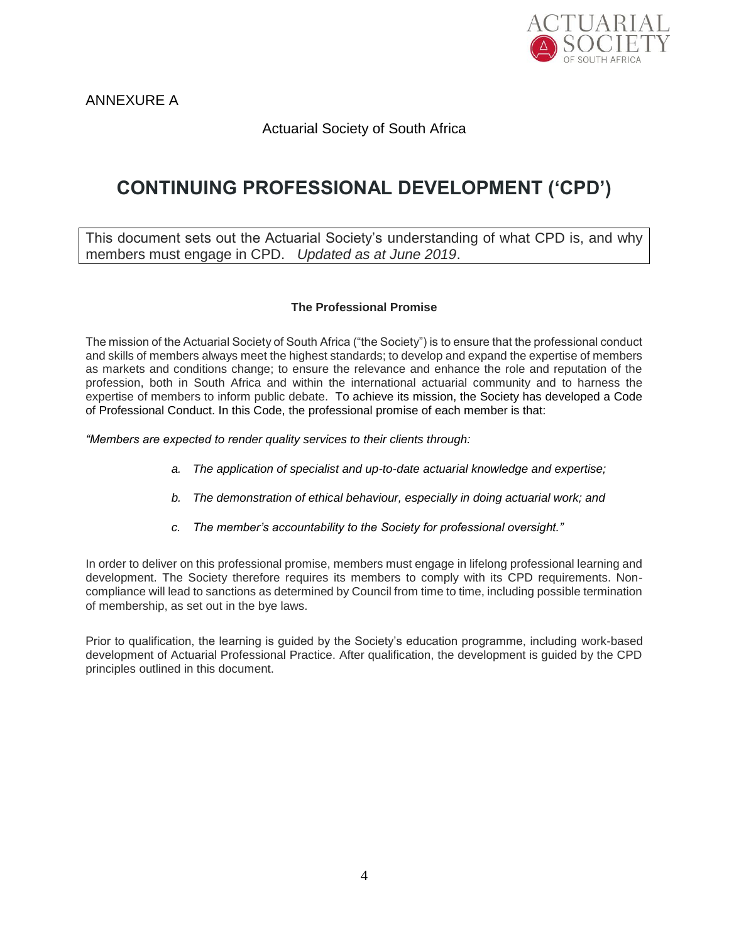

ANNEXURE A

### Actuarial Society of South Africa

# **CONTINUING PROFESSIONAL DEVELOPMENT ('CPD')**

This document sets out the Actuarial Society's understanding of what CPD is, and why members must engage in CPD. *Updated as at June 2019*.

### **The Professional Promise**

The mission of the Actuarial Society of South Africa ("the Society") is to ensure that the professional conduct and skills of members always meet the highest standards; to develop and expand the expertise of members as markets and conditions change; to ensure the relevance and enhance the role and reputation of the profession, both in South Africa and within the international actuarial community and to harness the expertise of members to inform public debate. To achieve its mission, the Society has developed a Code of Professional Conduct. In this Code, the professional promise of each member is that:

*"Members are expected to render quality services to their clients through:*

- *a. The application of specialist and up-to-date actuarial knowledge and expertise;*
- *b. The demonstration of ethical behaviour, especially in doing actuarial work; and*
- *c. The member's accountability to the Society for professional oversight."*

In order to deliver on this professional promise, members must engage in lifelong professional learning and development. The Society therefore requires its members to comply with its CPD requirements. Noncompliance will lead to sanctions as determined by Council from time to time, including possible termination of membership, as set out in the bye laws.

Prior to qualification, the learning is guided by the Society's education programme, including work-based development of Actuarial Professional Practice. After qualification, the development is guided by the CPD principles outlined in this document.